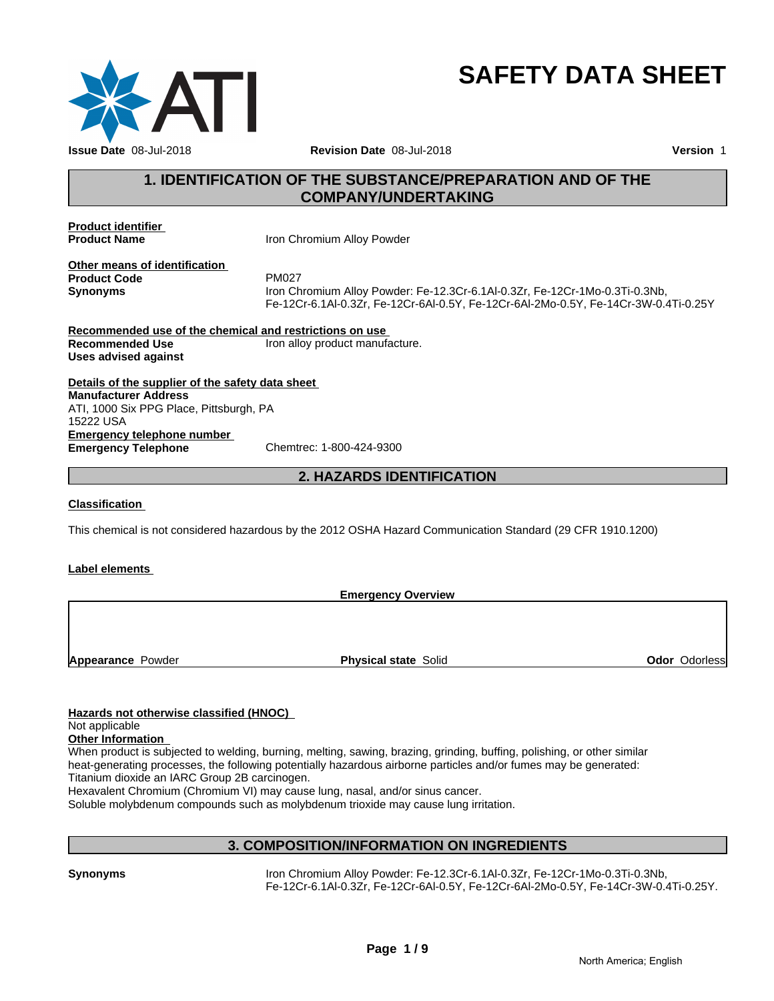

# **SAFETY DATA SHEET**

#### **1. IDENTIFICATION OF THE SUBSTANCE/PREPARATION AND OF THE COMPANY/UNDERTAKING**

**Product identifier** 

**Product Name Iron Chromium Alloy Powder** 

**Other means of identification**<br>**Product Code** PM027 **Product Code** 

**Synonyms** Iron Chromium Alloy Powder: Fe-12.3Cr-6.1Al-0.3Zr, Fe-12Cr-1Mo-0.3Ti-0.3Nb, Fe-12Cr-6.1Al-0.3Zr, Fe-12Cr-6Al-0.5Y, Fe-12Cr-6Al-2Mo-0.5Y, Fe-14Cr-3W-0.4Ti-0.25Y

**Recommended use of the chemical and restrictions on use Recommended Use Iron alloy product manufacture. Uses advised against**

**Details of the supplier of the safety data sheet Emergency telephone number Emergency Telephone** Chemtrec: 1-800-424-9300 **Manufacturer Address** ATI, 1000 Six PPG Place, Pittsburgh, PA 15222 USA

#### **2. HAZARDS IDENTIFICATION**

#### **Classification**

This chemical is not considered hazardous by the 2012 OSHA Hazard Communication Standard (29 CFR 1910.1200)

#### **Label elements**

**Emergency Overview**

**Appearance Powder <b>Physical state** Solid

**Odor** Odorless

#### **Hazards not otherwise classified (HNOC)**

#### Not applicable

#### **Other Information**

When product is subjected to welding, burning, melting, sawing, brazing, grinding, buffing, polishing, or other similar heat-generating processes, the following potentially hazardous airborne particles and/or fumes may be generated: Titanium dioxide an IARC Group 2B carcinogen.

Hexavalent Chromium (Chromium VI) may cause lung, nasal, and/or sinus cancer.

Soluble molybdenum compounds such as molybdenum trioxide may cause lung irritation.

#### **3. COMPOSITION/INFORMATION ON INGREDIENTS**

**Synonyms** Iron Chromium Alloy Powder: Fe-12.3Cr-6.1Al-0.3Zr, Fe-12Cr-1Mo-0.3Ti-0.3Nb, Fe-12Cr-6.1Al-0.3Zr, Fe-12Cr-6Al-0.5Y, Fe-12Cr-6Al-2Mo-0.5Y, Fe-14Cr-3W-0.4Ti-0.25Y.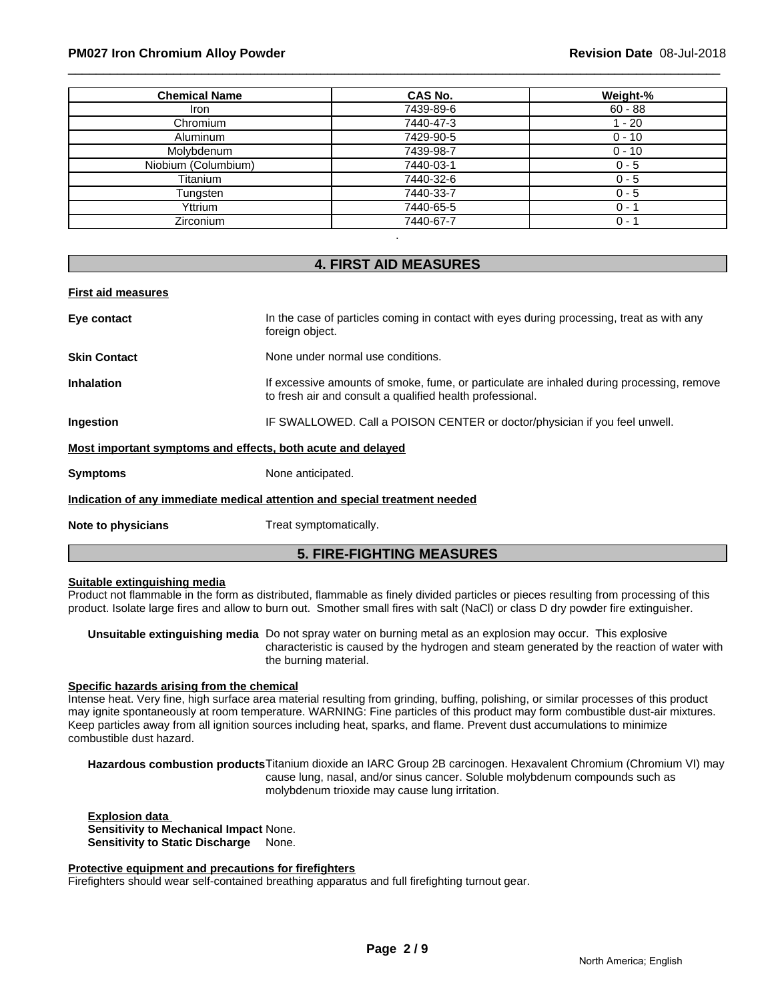#### \_\_\_\_\_\_\_\_\_\_\_\_\_\_\_\_\_\_\_\_\_\_\_\_\_\_\_\_\_\_\_\_\_\_\_\_\_\_\_\_\_\_\_\_\_\_\_\_\_\_\_\_\_\_\_\_\_\_\_\_\_\_\_\_\_\_\_\_\_\_\_\_\_\_\_\_\_\_\_\_\_\_\_\_\_\_\_\_\_\_\_\_\_ **PM027 Iron Chromium Alloy Powder Revision Date** 08-Jul-2018

| <b>Chemical Name</b> | CAS No.   | Weight-%  |
|----------------------|-----------|-----------|
| <b>Iron</b>          | 7439-89-6 | $60 - 88$ |
| Chromium             | 7440-47-3 | $-20$     |
| Aluminum             | 7429-90-5 | $0 - 10$  |
| Molybdenum           | 7439-98-7 | $0 - 10$  |
| Niobium (Columbium)  | 7440-03-1 | $0 - 5$   |
| Titanium             | 7440-32-6 | $0 - 5$   |
| Tungsten             | 7440-33-7 | $0 - 5$   |
| Yttrium              | 7440-65-5 | $0 - 1$   |
| Zirconium            | 7440-67-7 | $0 - 1$   |

#### **4. FIRST AID MEASURES**

| <b>First aid measures</b>                                   |                                                                                                                                                        |
|-------------------------------------------------------------|--------------------------------------------------------------------------------------------------------------------------------------------------------|
| Eye contact                                                 | In the case of particles coming in contact with eyes during processing, treat as with any<br>foreign object.                                           |
| <b>Skin Contact</b>                                         | None under normal use conditions.                                                                                                                      |
| <b>Inhalation</b>                                           | If excessive amounts of smoke, fume, or particulate are inhaled during processing, remove<br>to fresh air and consult a qualified health professional. |
| Ingestion                                                   | IF SWALLOWED. Call a POISON CENTER or doctor/physician if you feel unwell.                                                                             |
| Most important symptoms and effects, both acute and delayed |                                                                                                                                                        |
| <b>Symptoms</b>                                             | None anticipated.                                                                                                                                      |
|                                                             | Indication of any immediate medical attention and special treatment needed                                                                             |
| Note to physicians                                          | Treat symptomatically.                                                                                                                                 |
|                                                             | <b>5. FIRE-FIGHTING MEASURES</b>                                                                                                                       |

#### **Suitable extinguishing media**

Product not flammable in the form as distributed, flammable as finely divided particles or pieces resulting from processing of this product. Isolate large fires and allow to burn out. Smother small fires with salt (NaCl) or class D dry powder fire extinguisher.

**Unsuitable extinguishing media** Do not spray water on burning metal as an explosion may occur. This explosive characteristic is caused by the hydrogen and steam generated by the reaction of water with the burning material.

#### **Specific hazards arising from the chemical**

Intense heat. Very fine, high surface area material resulting from grinding, buffing, polishing, or similar processes of this product may ignite spontaneously at room temperature. WARNING: Fine particles of this product may form combustible dust-air mixtures. Keep particles away from all ignition sources including heat, sparks, and flame. Prevent dust accumulations to minimize combustible dust hazard.

**Hazardous combustion products**Titanium dioxide an IARC Group 2B carcinogen. Hexavalent Chromium (Chromium VI) may cause lung, nasal, and/or sinus cancer. Soluble molybdenum compounds such as molybdenum trioxide may cause lung irritation.

**Explosion data Sensitivity to Mechanical Impact** None. **Sensitivity to Static Discharge** None.

#### **Protective equipment and precautions for firefighters**

Firefighters should wear self-contained breathing apparatus and full firefighting turnout gear.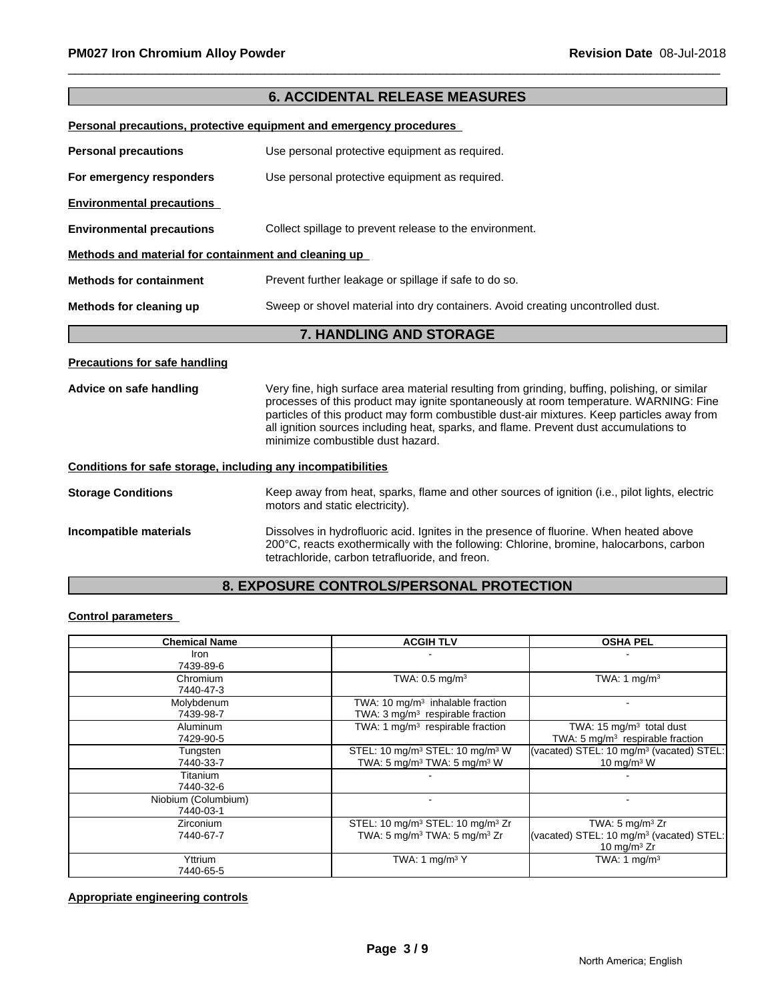|                                                              | <b>6. ACCIDENTAL RELEASE MEASURES</b>                                                                                                                                                                                                                                                                                                                                                                              |  |  |
|--------------------------------------------------------------|--------------------------------------------------------------------------------------------------------------------------------------------------------------------------------------------------------------------------------------------------------------------------------------------------------------------------------------------------------------------------------------------------------------------|--|--|
|                                                              | Personal precautions, protective equipment and emergency procedures                                                                                                                                                                                                                                                                                                                                                |  |  |
| <b>Personal precautions</b>                                  | Use personal protective equipment as required.                                                                                                                                                                                                                                                                                                                                                                     |  |  |
| For emergency responders                                     | Use personal protective equipment as required.                                                                                                                                                                                                                                                                                                                                                                     |  |  |
| <b>Environmental precautions</b>                             |                                                                                                                                                                                                                                                                                                                                                                                                                    |  |  |
| <b>Environmental precautions</b>                             | Collect spillage to prevent release to the environment.                                                                                                                                                                                                                                                                                                                                                            |  |  |
| Methods and material for containment and cleaning up         |                                                                                                                                                                                                                                                                                                                                                                                                                    |  |  |
| <b>Methods for containment</b>                               | Prevent further leakage or spillage if safe to do so.                                                                                                                                                                                                                                                                                                                                                              |  |  |
| Methods for cleaning up                                      | Sweep or shovel material into dry containers. Avoid creating uncontrolled dust.                                                                                                                                                                                                                                                                                                                                    |  |  |
|                                                              | 7. HANDLING AND STORAGE                                                                                                                                                                                                                                                                                                                                                                                            |  |  |
| <b>Precautions for safe handling</b>                         |                                                                                                                                                                                                                                                                                                                                                                                                                    |  |  |
| Advice on safe handling                                      | Very fine, high surface area material resulting from grinding, buffing, polishing, or similar<br>processes of this product may ignite spontaneously at room temperature. WARNING: Fine<br>particles of this product may form combustible dust-air mixtures. Keep particles away from<br>all ignition sources including heat, sparks, and flame. Prevent dust accumulations to<br>minimize combustible dust hazard. |  |  |
| Conditions for safe storage, including any incompatibilities |                                                                                                                                                                                                                                                                                                                                                                                                                    |  |  |
| <b>Storage Conditions</b>                                    | Keep away from heat, sparks, flame and other sources of ignition (i.e., pilot lights, electric<br>motors and static electricity).                                                                                                                                                                                                                                                                                  |  |  |
| Incompatible materials                                       | Dissolves in hydrofluoric acid. Ignites in the presence of fluorine. When heated above<br>200°C, reacts exothermically with the following: Chlorine, bromine, halocarbons, carbon<br>tetrachloride, carbon tetrafluoride, and freon.                                                                                                                                                                               |  |  |

#### **8. EXPOSURE CONTROLS/PERSONAL PROTECTION**

#### **Control parameters**

| <b>Chemical Name</b> | <b>ACGIH TLV</b>                                         | <b>OSHA PEL</b>                                      |
|----------------------|----------------------------------------------------------|------------------------------------------------------|
| Iron                 |                                                          |                                                      |
| 7439-89-6            |                                                          |                                                      |
| Chromium             | TWA: $0.5$ mg/m <sup>3</sup>                             | TWA: 1 mg/m <sup>3</sup>                             |
| 7440-47-3            |                                                          |                                                      |
| Molybdenum           | TWA: 10 $mg/m3$ inhalable fraction                       |                                                      |
| 7439-98-7            | TWA: 3 mg/m <sup>3</sup> respirable fraction             |                                                      |
| <b>Aluminum</b>      | TWA: 1 $mq/m3$ respirable fraction                       | TWA: 15 $mg/m3$ total dust                           |
| 7429-90-5            |                                                          | TWA: 5 mg/m <sup>3</sup> respirable fraction         |
| Tungsten             | STEL: 10 mg/m <sup>3</sup> STEL: 10 mg/m <sup>3</sup> W  | (vacated) STEL: 10 mg/m <sup>3</sup> (vacated) STEL: |
| 7440-33-7            | TWA: 5 mg/m <sup>3</sup> TWA: 5 mg/m <sup>3</sup> W      | 10 mg/m $3 \text{ W}$                                |
| Titanium             |                                                          |                                                      |
| 7440-32-6            |                                                          |                                                      |
| Niobium (Columbium)  |                                                          | $\overline{\phantom{a}}$                             |
| 7440-03-1            |                                                          |                                                      |
| <b>Zirconium</b>     | STEL: 10 mg/m <sup>3</sup> STEL: 10 mg/m <sup>3</sup> Zr | TWA: $5 \text{ mg/m}^3$ Zr                           |
| 7440-67-7            | TWA: 5 mg/m <sup>3</sup> TWA: 5 mg/m <sup>3</sup> Zr     | (vacated) STEL: 10 mg/m <sup>3</sup> (vacated) STEL: |
|                      |                                                          | 10 mg/m $3$ Zr                                       |
| Yttrium              | TWA: 1 $mg/m3$ Y                                         | TWA: 1 mg/m <sup>3</sup>                             |
| 7440-65-5            |                                                          |                                                      |

#### **Appropriate engineering controls**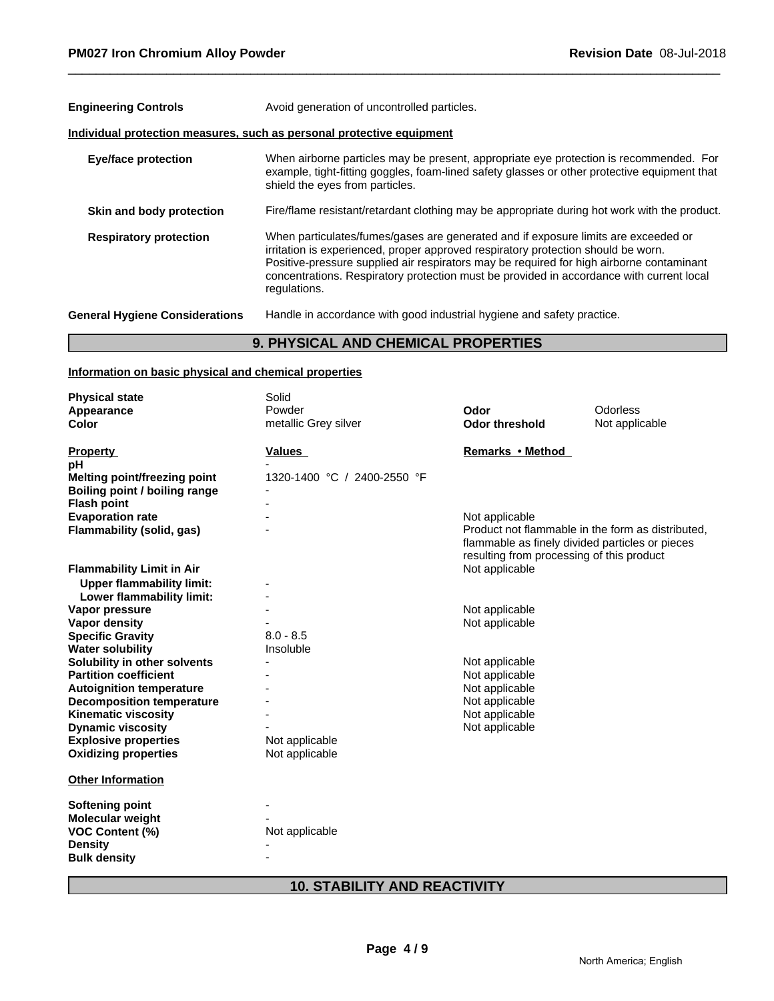| <b>Engineering Controls</b>           | Avoid generation of uncontrolled particles.                                                                                                                                                                                                                                                                                                                                     |
|---------------------------------------|---------------------------------------------------------------------------------------------------------------------------------------------------------------------------------------------------------------------------------------------------------------------------------------------------------------------------------------------------------------------------------|
|                                       | Individual protection measures, such as personal protective equipment                                                                                                                                                                                                                                                                                                           |
| <b>Eye/face protection</b>            | When airborne particles may be present, appropriate eye protection is recommended. For<br>example, tight-fitting goggles, foam-lined safety glasses or other protective equipment that<br>shield the eyes from particles.                                                                                                                                                       |
| Skin and body protection              | Fire/flame resistant/retardant clothing may be appropriate during hot work with the product.                                                                                                                                                                                                                                                                                    |
| <b>Respiratory protection</b>         | When particulates/fumes/gases are generated and if exposure limits are exceeded or<br>irritation is experienced, proper approved respiratory protection should be worn.<br>Positive-pressure supplied air respirators may be required for high airborne contaminant<br>concentrations. Respiratory protection must be provided in accordance with current local<br>regulations. |
| <b>General Hygiene Considerations</b> | Handle in accordance with good industrial hygiene and safety practice.                                                                                                                                                                                                                                                                                                          |
|                                       |                                                                                                                                                                                                                                                                                                                                                                                 |

#### **9. PHYSICAL AND CHEMICAL PROPERTIES**

#### **Information on basic physical and chemical properties**

L

| <b>Physical state</b>            | Solid                       |                                                 |                                                   |
|----------------------------------|-----------------------------|-------------------------------------------------|---------------------------------------------------|
| Appearance                       | Powder                      | Odor                                            | Odorless                                          |
| Color                            | metallic Grey silver        | <b>Odor threshold</b>                           | Not applicable                                    |
|                                  |                             |                                                 |                                                   |
| <b>Property</b>                  | <b>Values</b>               | Remarks • Method                                |                                                   |
| рH                               |                             |                                                 |                                                   |
| Melting point/freezing point     | 1320-1400 °C / 2400-2550 °F |                                                 |                                                   |
| Boiling point / boiling range    |                             |                                                 |                                                   |
| <b>Flash point</b>               |                             |                                                 |                                                   |
| <b>Evaporation rate</b>          |                             | Not applicable                                  |                                                   |
| Flammability (solid, gas)        |                             |                                                 | Product not flammable in the form as distributed. |
|                                  |                             | flammable as finely divided particles or pieces |                                                   |
|                                  |                             | resulting from processing of this product       |                                                   |
| <b>Flammability Limit in Air</b> |                             | Not applicable                                  |                                                   |
| <b>Upper flammability limit:</b> |                             |                                                 |                                                   |
| Lower flammability limit:        |                             |                                                 |                                                   |
| Vapor pressure                   |                             | Not applicable                                  |                                                   |
| <b>Vapor density</b>             |                             | Not applicable                                  |                                                   |
| <b>Specific Gravity</b>          | $8.0 - 8.5$                 |                                                 |                                                   |
| <b>Water solubility</b>          | Insoluble                   |                                                 |                                                   |
| Solubility in other solvents     |                             | Not applicable                                  |                                                   |
| <b>Partition coefficient</b>     |                             | Not applicable                                  |                                                   |
| <b>Autoignition temperature</b>  |                             | Not applicable                                  |                                                   |
| <b>Decomposition temperature</b> |                             | Not applicable                                  |                                                   |
| <b>Kinematic viscosity</b>       |                             | Not applicable                                  |                                                   |
| <b>Dynamic viscosity</b>         |                             | Not applicable                                  |                                                   |
| <b>Explosive properties</b>      | Not applicable              |                                                 |                                                   |
| <b>Oxidizing properties</b>      | Not applicable              |                                                 |                                                   |
| <b>Other Information</b>         |                             |                                                 |                                                   |
|                                  |                             |                                                 |                                                   |
| Softening point                  |                             |                                                 |                                                   |
| Molecular weight                 |                             |                                                 |                                                   |
| <b>VOC Content (%)</b>           | Not applicable              |                                                 |                                                   |
| <b>Density</b>                   |                             |                                                 |                                                   |
| <b>Bulk density</b>              |                             |                                                 |                                                   |
|                                  |                             |                                                 |                                                   |

### **10. STABILITY AND REACTIVITY**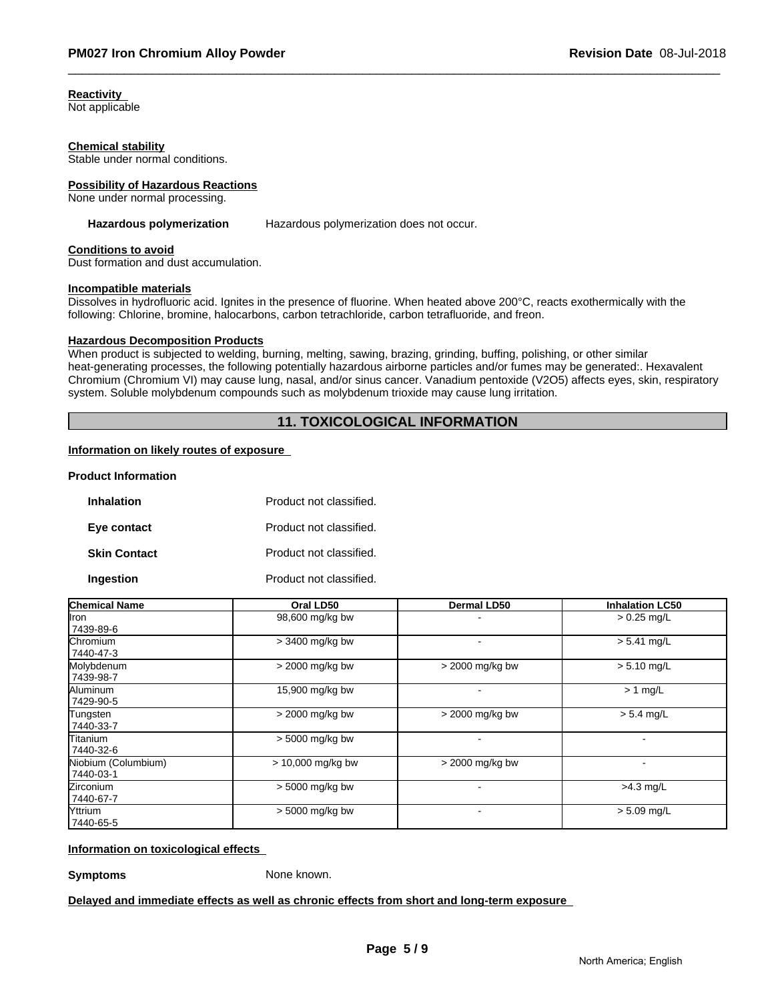**Reactivity** 

Not applicable

#### **Chemical stability**

Stable under normal conditions.

#### **Possibility of Hazardous Reactions**

None under normal processing.

Hazardous polymerization **Hazardous polymerization does not occur.** 

#### **Conditions to avoid**

Dust formation and dust accumulation.

#### **Incompatible materials**

Dissolves in hydrofluoric acid. Ignites in the presence of fluorine. When heated above 200°C, reacts exothermically with the following: Chlorine, bromine, halocarbons, carbon tetrachloride, carbon tetrafluoride, and freon.

#### **Hazardous Decomposition Products**

When product is subjected to welding, burning, melting, sawing, brazing, grinding, buffing, polishing, or other similar heat-generating processes, the following potentially hazardous airborne particles and/or fumes may be generated:. Hexavalent Chromium (Chromium VI) may cause lung, nasal, and/or sinus cancer. Vanadium pentoxide (V2O5) affects eyes, skin, respiratory system. Soluble molybdenum compounds such as molybdenum trioxide may cause lung irritation.

#### **11. TOXICOLOGICAL INFORMATION**

#### **Information on likely routes of exposure**

#### **Product Information**

| <b>Inhalation</b>   | Product not classified. |
|---------------------|-------------------------|
| Eye contact         | Product not classified. |
| <b>Skin Contact</b> | Product not classified. |
| Ingestion           | Product not classified. |

| <b>Chemical Name</b>             | Oral LD50           | <b>Dermal LD50</b> | <b>Inhalation LC50</b> |
|----------------------------------|---------------------|--------------------|------------------------|
| llron<br>7439-89-6               | 98,600 mg/kg bw     |                    | $> 0.25$ mg/L          |
| Chromium<br>7440-47-3            | > 3400 mg/kg bw     |                    | $> 5.41$ mg/L          |
| Molybdenum<br>7439-98-7          | > 2000 mg/kg bw     | > 2000 mg/kg bw    | $> 5.10$ mg/L          |
| Aluminum<br>7429-90-5            | 15,900 mg/kg bw     |                    | $> 1$ mg/L             |
| Tungsten<br>7440-33-7            | > 2000 mg/kg bw     | > 2000 mg/kg bw    | $> 5.4$ mg/L           |
| Titanium<br>7440-32-6            | > 5000 mg/kg bw     |                    |                        |
| Niobium (Columbium)<br>7440-03-1 | $> 10,000$ mg/kg bw | > 2000 mg/kg bw    |                        |
| Zirconium<br>7440-67-7           | > 5000 mg/kg bw     |                    | $>4.3$ mg/L            |
| Yttrium<br>7440-65-5             | > 5000 mg/kg bw     |                    | $> 5.09$ mg/L          |

**Information on toxicological effects** 

**Symptoms** None known.

**Delayed and immediate effects as well as chronic effects from short and long-term exposure**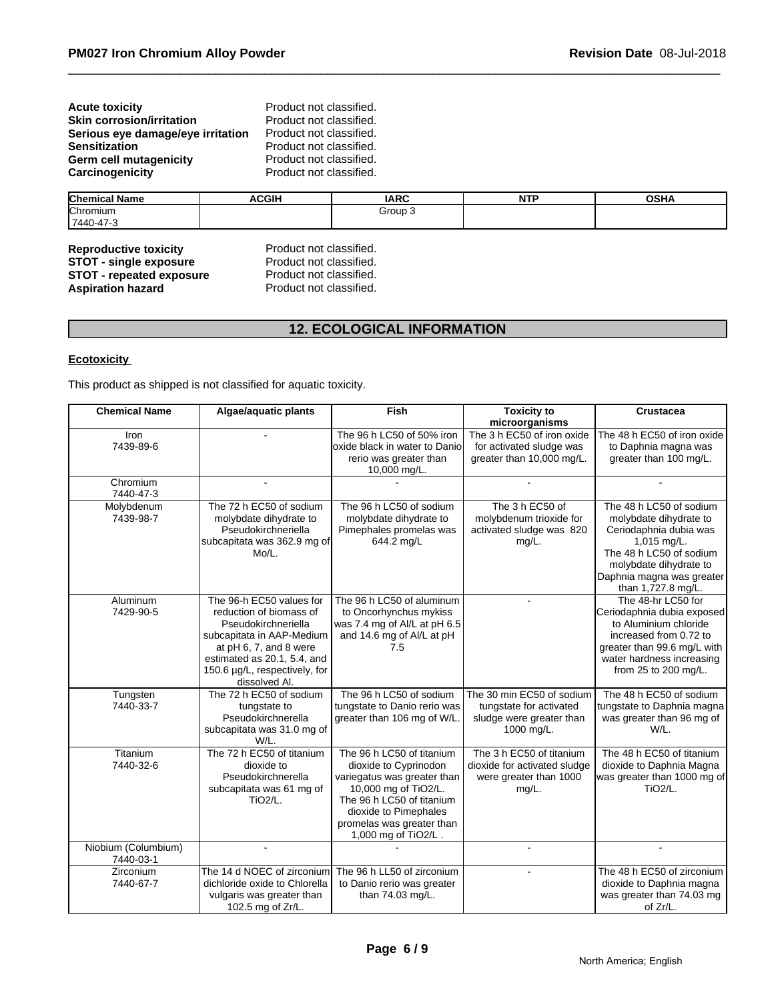**Product not classified. Product not classified. Product not classified.** Product not classified. Product not classified. Product not classified.

| <b>Chemical Name</b> | <b>ACGIH</b> | <b>IARC</b> | .<br>. | <b>OCUA</b><br>ujna |
|----------------------|--------------|-------------|--------|---------------------|
| Chromium             |              | Group 3     |        |                     |
| 17440-41<br>170<br>. |              |             |        |                     |

#### **Reproductive toxicity** Product not classified.<br> **STOT - single exposure** Product not classified. **STOT - single exposure** Product not classified.<br>**STOT - repeated exposure** Product not classified. **STOT - repeated exposure** Product not classified.<br> **Aspiration hazard** Product not classified. **Aspiration hazard**

#### **12. ECOLOGICAL INFORMATION**

#### **Ecotoxicity**

This product as shipped is not classified for aquatic toxicity.

| <b>Chemical Name</b>             | Algae/aquatic plants                                                                                                                                                                                               | <b>Fish</b>                                                                                                                                                                                                         | <b>Toxicity to</b><br>microorganisms                                                           | Crustacea                                                                                                                                                                                          |
|----------------------------------|--------------------------------------------------------------------------------------------------------------------------------------------------------------------------------------------------------------------|---------------------------------------------------------------------------------------------------------------------------------------------------------------------------------------------------------------------|------------------------------------------------------------------------------------------------|----------------------------------------------------------------------------------------------------------------------------------------------------------------------------------------------------|
| Iron<br>7439-89-6                |                                                                                                                                                                                                                    | The 96 h LC50 of 50% iron<br>loxide black in water to Danio<br>rerio was greater than<br>10,000 mg/L.                                                                                                               | The 3 h EC50 of iron oxide<br>for activated sludge was<br>greater than 10,000 mg/L.            | The 48 h EC50 of iron oxide<br>to Daphnia magna was<br>greater than 100 mg/L.                                                                                                                      |
| Chromium<br>7440-47-3            |                                                                                                                                                                                                                    |                                                                                                                                                                                                                     |                                                                                                |                                                                                                                                                                                                    |
| Molybdenum<br>7439-98-7          | The 72 h EC50 of sodium<br>molybdate dihydrate to<br>Pseudokirchneriella<br>subcapitata was 362.9 mg of<br>Mo/L.                                                                                                   | The 96 h LC50 of sodium<br>molybdate dihydrate to<br>Pimephales promelas was<br>644.2 mg/L                                                                                                                          | The 3 h EC50 of<br>molybdenum trioxide for<br>activated sludge was 820<br>mg/L.                | The 48 h LC50 of sodium<br>molybdate dihydrate to<br>Ceriodaphnia dubia was<br>1,015 mg/L.<br>The 48 h LC50 of sodium<br>molybdate dihydrate to<br>Daphnia magna was greater<br>than 1,727.8 mg/L. |
| Aluminum<br>7429-90-5            | The 96-h EC50 values for<br>reduction of biomass of<br>Pseudokirchneriella<br>subcapitata in AAP-Medium<br>at pH 6, 7, and 8 were<br>estimated as 20.1, 5.4, and<br>150.6 µg/L, respectively, for<br>dissolved Al. | The 96 h LC50 of aluminum<br>to Oncorhynchus mykiss<br>was 7.4 mg of Al/L at pH 6.5<br>and 14.6 mg of Al/L at pH<br>7.5                                                                                             |                                                                                                | The 48-hr LC50 for<br>Ceriodaphnia dubia exposed<br>to Aluminium chloride<br>increased from 0.72 to<br>greater than 99.6 mg/L with<br>water hardness increasing<br>from 25 to 200 mg/L.            |
| Tungsten<br>7440-33-7            | The 72 h EC50 of sodium<br>tungstate to<br>Pseudokirchnerella<br>subcapitata was 31.0 mg of<br>W/L.                                                                                                                | The 96 h LC50 of sodium<br>tungstate to Danio rerio was<br>greater than 106 mg of W/L                                                                                                                               | The 30 min EC50 of sodium<br>tungstate for activated<br>sludge were greater than<br>1000 mg/L. | The 48 h EC50 of sodium<br>tungstate to Daphnia magna<br>was greater than 96 mg of<br>W/L.                                                                                                         |
| Titanium<br>7440-32-6            | The 72 h EC50 of titanium<br>dioxide to<br>Pseudokirchnerella<br>subcapitata was 61 mg of<br>TiO <sub>2</sub> /L.                                                                                                  | The 96 h LC50 of titanium<br>dioxide to Cyprinodon<br>variegatus was greater than<br>10,000 mg of TiO2/L.<br>The 96 h LC50 of titanium<br>dioxide to Pimephales<br>promelas was greater than<br>1,000 mg of TiO2/L. | The 3 h EC50 of titanium<br>dioxide for activated sludge<br>were greater than 1000<br>mg/L.    | The 48 h EC50 of titanium<br>dioxide to Daphnia Magna<br>was greater than 1000 mg of<br>TiO <sub>2</sub> /L.                                                                                       |
| Niobium (Columbium)<br>7440-03-1 |                                                                                                                                                                                                                    |                                                                                                                                                                                                                     |                                                                                                |                                                                                                                                                                                                    |
| Zirconium<br>7440-67-7           | The 14 d NOEC of zirconium<br>dichloride oxide to Chlorella<br>vulgaris was greater than<br>102.5 mg of Zr/L.                                                                                                      | The 96 h LL50 of zirconium<br>to Danio rerio was greater<br>than 74.03 mg/L.                                                                                                                                        |                                                                                                | The 48 h EC50 of zirconium<br>dioxide to Daphnia magna<br>was greater than 74.03 mg<br>of Zr/L.                                                                                                    |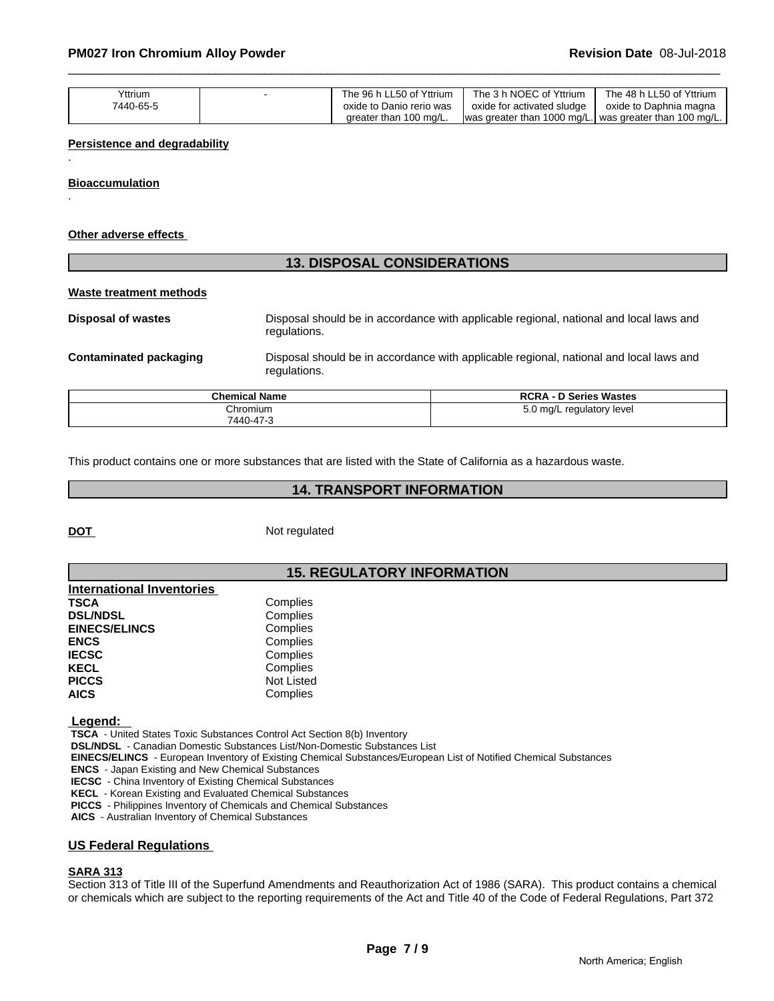| Yttrium<br>7440-65-5 | ' Yttrium<br>The 96 h LL50<br>oxide to Danio rerio was | 3 h NOEC of Yttrium<br>The<br>oxide for activated sludge | : 48 h LL50 of Yttrium<br>The .<br>oxide to Daphnia magna |
|----------------------|--------------------------------------------------------|----------------------------------------------------------|-----------------------------------------------------------|
|                      | greater than 100 mg/L.                                 | was greater than 1000 mg/L.                              | l was greater than 100 mg/L.                              |

#### **Persistence and degradability**

**Bioaccumulation**

.

.

#### **Other adverse effects**

## **13. DISPOSAL CONSIDERATIONS Waste treatment methods Disposal of wastes** Disposal should be in accordance with applicable regional, national and local laws and regulations. **Contaminated packaging** Disposal should be in accordance with applicable regional, national and local laws and regulations.

| <b>Chemical Name</b> | <b>RCRA - D Series Wastes</b> |
|----------------------|-------------------------------|
| Chromium             | 5.0 mg/L regulatory level     |
| 7440-47-3            |                               |

This product contains one or more substances that are listed with the State of California as a hazardous waste.

#### **14. TRANSPORT INFORMATION**

**DOT** Not regulated

#### **15. REGULATORY INFORMATION**

| <b>International Inventories</b> |                   |  |
|----------------------------------|-------------------|--|
| <b>TSCA</b>                      | Complies          |  |
| <b>DSL/NDSL</b>                  | Complies          |  |
| <b>EINECS/ELINCS</b>             | Complies          |  |
| <b>ENCS</b>                      | Complies          |  |
| <b>IECSC</b>                     | Complies          |  |
| <b>KECL</b>                      | Complies          |  |
| <b>PICCS</b>                     | <b>Not Listed</b> |  |
| <b>AICS</b>                      | Complies          |  |

 **Legend:** 

 **TSCA** - United States Toxic Substances Control Act Section 8(b) Inventory

 **DSL/NDSL** - Canadian Domestic Substances List/Non-Domestic Substances List

 **EINECS/ELINCS** - European Inventory of Existing Chemical Substances/European List of Notified Chemical Substances

 **ENCS** - Japan Existing and New Chemical Substances

**IECSC** - China Inventory of Existing Chemical Substances

 **KECL** - Korean Existing and Evaluated Chemical Substances

 **PICCS** - Philippines Inventory of Chemicals and Chemical Substances

 **AICS** - Australian Inventory of Chemical Substances

#### **US Federal Regulations**

#### **SARA 313**

Section 313 of Title III of the Superfund Amendments and Reauthorization Act of 1986 (SARA). This product contains a chemical or chemicals which are subject to the reporting requirements of the Act and Title 40 of the Code of Federal Regulations, Part 372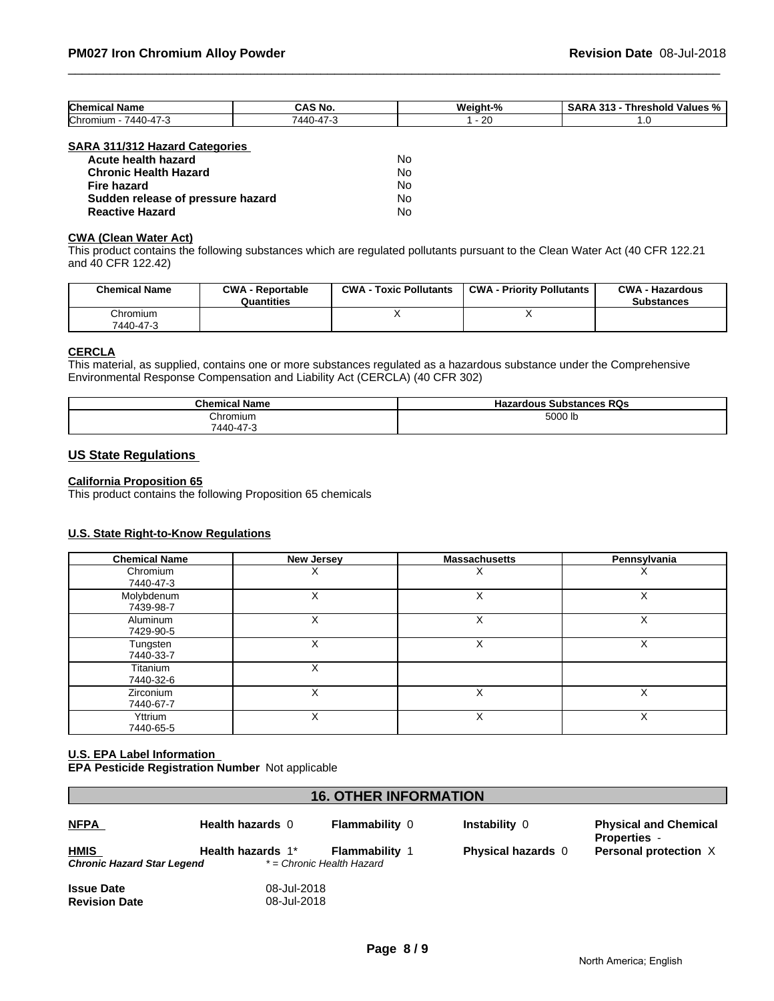| Chemical<br>ا Name            | CAS No | Weight-<br>70 | - -<br><br>-<br><b>Values</b><br><b>Threshold</b><br>.<br>- 70<br>$\mathbf{1}$<br>. . |
|-------------------------------|--------|---------------|---------------------------------------------------------------------------------------|
| Chromium<br>'440-4<br>- 7<br> | 'AAI   | חר<br>$\sim$  |                                                                                       |

#### **SARA 311/312 Hazard Categories**

| Acute health hazard               | No  |
|-----------------------------------|-----|
| <b>Chronic Health Hazard</b>      | No. |
| Fire hazard                       | N٥  |
| Sudden release of pressure hazard | No. |
| <b>Reactive Hazard</b>            | Nο  |

#### **CWA (Clean Water Act)**

This product contains the following substances which are regulated pollutants pursuant to the Clean Water Act (40 CFR 122.21 and 40 CFR 122.42)

| <b>Chemical Name</b>  | <b>CWA - Reportable</b><br>Quantities | <b>CWA - Toxic Pollutants</b> | <b>CWA - Priority Pollutants</b> | <b>CWA - Hazardous</b><br><b>Substances</b> |
|-----------------------|---------------------------------------|-------------------------------|----------------------------------|---------------------------------------------|
| Chromium<br>7440-47-3 |                                       |                               |                                  |                                             |

#### **CERCLA**

This material, as supplied, contains one or more substances regulated as a hazardous substance under the Comprehensive Environmental Response Compensation and Liability Act (CERCLA) (40 CFR 302)

| <b>Chemical Name</b> | <b>Hazardous Substances</b><br><b>RQs</b> |
|----------------------|-------------------------------------------|
| Chromium             | 5000 lb                                   |
| 17c<br>$7440 - 4$    |                                           |

#### **US State Regulations**

#### **California Proposition 65**

This product contains the following Proposition 65 chemicals

#### **U.S. State Right-to-Know Regulations**

| <b>Chemical Name</b>    | New Jersey | <b>Massachusetts</b> | Pennsylvania |
|-------------------------|------------|----------------------|--------------|
| Chromium<br>7440-47-3   |            |                      |              |
| Molybdenum<br>7439-98-7 |            |                      | Х            |
| Aluminum<br>7429-90-5   |            |                      | х            |
| Tungsten<br>7440-33-7   | X          | ◡<br>⋏               | X            |
| Titanium<br>7440-32-6   |            |                      |              |
| Zirconium<br>7440-67-7  | X          | X                    | X            |
| Yttrium<br>7440-65-5    | X          | X                    | X            |

#### **U.S. EPA Label Information EPA Pesticide Registration Number** Not applicable

| <b>16. OTHER INFORMATION</b>              |                   |                                                    |                           |                                                     |
|-------------------------------------------|-------------------|----------------------------------------------------|---------------------------|-----------------------------------------------------|
| <b>NFPA</b>                               | Health hazards 0  | <b>Flammability 0</b>                              | Instability 0             | <b>Physical and Chemical</b><br><b>Properties</b> - |
| <b>HMIS</b><br>Chronic Hazard Star Legend | Health hazards 1* | <b>Flammability</b> 1<br>* = Chronic Health Hazard | <b>Physical hazards</b> 0 | Personal protection X                               |

| <b>Issue Date</b>    | 08-Jul-2018 |
|----------------------|-------------|
| <b>Revision Date</b> | 08-Jul-2018 |